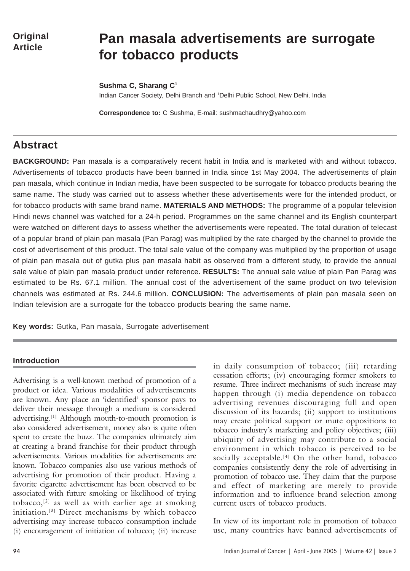# **Pan masala advertisements are surrogate for tobacco products**

**Sushma C, Sharang C1**

Indian Cancer Society, Delhi Branch and 1Delhi Public School, New Delhi, India

**Correspondence to:** C Sushma, E-mail: sushmachaudhry@yahoo.com

# **Abstract**

**BACKGROUND:** Pan masala is a comparatively recent habit in India and is marketed with and without tobacco. Advertisements of tobacco products have been banned in India since 1st May 2004. The advertisements of plain pan masala, which continue in Indian media, have been suspected to be surrogate for tobacco products bearing the same name. The study was carried out to assess whether these advertisements were for the intended product, or for tobacco products with same brand name. **MATERIALS AND METHODS:** The programme of a popular television Hindi news channel was watched for a 24-h period. Programmes on the same channel and its English counterpart were watched on different days to assess whether the advertisements were repeated. The total duration of telecast of a popular brand of plain pan masala (Pan Parag) was multiplied by the rate charged by the channel to provide the cost of advertisement of this product. The total sale value of the company was multiplied by the proportion of usage of plain pan masala out of gutka plus pan masala habit as observed from a different study, to provide the annual sale value of plain pan masala product under reference. **RESULTS:** The annual sale value of plain Pan Parag was estimated to be Rs. 67.1 million. The annual cost of the advertisement of the same product on two television channels was estimated at Rs. 244.6 million. **CONCLUSION:** The advertisements of plain pan masala seen on Indian television are a surrogate for the tobacco products bearing the same name.

**Key words:** Gutka, Pan masala, Surrogate advertisement

### **Introduction**

Advertising is a well-known method of promotion of a product or idea. Various modalities of advertisements are known. Any place an 'identified' sponsor pays to deliver their message through a medium is considered advertising.[1] Although mouth-to-mouth promotion is also considered advertisement, money also is quite often spent to create the buzz. The companies ultimately aim at creating a brand franchise for their product through advertisements. Various modalities for advertisements are known. Tobacco companies also use various methods of advertising for promotion of their product. Having a favorite cigarette advertisement has been observed to be associated with future smoking or likelihood of trying tobacco,[2] as well as with earlier age at smoking initiation.[3] Direct mechanisms by which tobacco advertising may increase tobacco consumption include (i) encouragement of initiation of tobacco; (ii) increase

in daily consumption of tobacco; (iii) retarding cessation efforts; (iv) encouraging former smokers to resume. Three indirect mechanisms of such increase may happen through (i) media dependence on tobacco advertising revenues discouraging full and open discussion of its hazards; (ii) support to institutions may create political support or mute oppositions to tobacco industry's marketing and policy objectives; (iii) ubiquity of advertising may contribute to a social environment in which tobacco is perceived to be socially acceptable.<sup>[4]</sup> On the other hand, tobacco companies consistently deny the role of advertising in promotion of tobacco use. They claim that the purpose and effect of marketing are merely to provide information and to influence brand selection among current users of tobacco products.

In view of its important role in promotion of tobacco use, many countries have banned advertisements of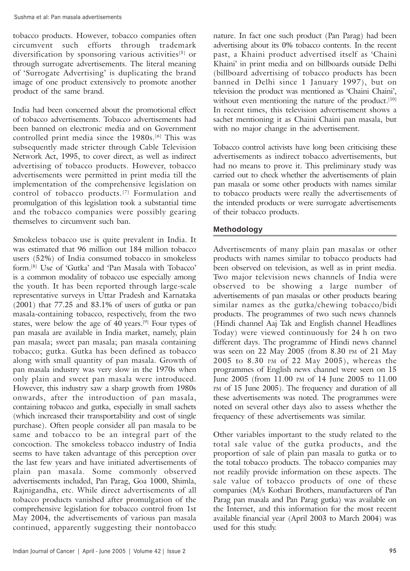tobacco products. However, tobacco companies often circumvent such efforts through trademark diversification by sponsoring various activities<sup>[5]</sup> or through surrogate advertisements. The literal meaning of 'Surrogate Advertising' is duplicating the brand image of one product extensively to promote another product of the same brand.

India had been concerned about the promotional effect of tobacco advertisements. Tobacco advertisements had been banned on electronic media and on Government controlled print media since the 1980s.[6] This was subsequently made stricter through Cable Television Network Act, 1995, to cover direct, as well as indirect advertising of tobacco products. However, tobacco advertisements were permitted in print media till the implementation of the comprehensive legislation on control of tobacco products.<sup>[7]</sup> Formulation and promulgation of this legislation took a substantial time and the tobacco companies were possibly gearing themselves to circumvent such ban.

Smokeless tobacco use is quite prevalent in India. It was estimated that 96 million out 184 million tobacco users (52%) of India consumed tobacco in smokeless form.[8] Use of 'Gutka' and 'Pan Masala with Tobacco' is a common modality of tobacco use especially among the youth. It has been reported through large-scale representative surveys in Uttar Pradesh and Karnataka (2001) that 77.25 and 83.1% of users of gutka or pan masala-containing tobacco, respectively, from the two states, were below the age of 40 years.<sup>[9]</sup> Four types of pan masala are available in India market, namely, plain pan masala; sweet pan masala; pan masala containing tobacco; gutka. Gutka has been defined as tobacco along with small quantity of pan masala. Growth of pan masala industry was very slow in the 1970s when only plain and sweet pan masala were introduced. However, this industry saw a sharp growth from 1980s onwards, after the introduction of pan masala, containing tobacco and gutka, especially in small sachets (which increased their transportability and cost of single purchase). Often people consider all pan masala to be same and tobacco to be an integral part of the concoction. The smokeless tobacco industry of India seems to have taken advantage of this perception over the last few years and have initiated advertisements of plain pan masala. Some commonly observed advertisements included, Pan Parag, Goa 1000, Shimla, Rajnigandha, etc. While direct advertisements of all tobacco products vanished after promulgation of the comprehensive legislation for tobacco control from 1st May 2004, the advertisements of various pan masala continued, apparently suggesting their nontobacco

nature. In fact one such product (Pan Parag) had been advertising about its 0% tobacco contents. In the recent past, a Khaini product advertised itself as 'Chaini Khaini' in print media and on billboards outside Delhi (billboard advertising of tobacco products has been banned in Delhi since 1 January 1997), but on television the product was mentioned as 'Chaini Chaini', without even mentioning the nature of the product.<sup>[10]</sup> In recent times, this television advertisement shows a sachet mentioning it as Chaini Chaini pan masala, but with no major change in the advertisement.

Tobacco control activists have long been criticising these advertisements as indirect tobacco advertisements, but had no means to prove it. This preliminary study was carried out to check whether the advertisements of plain pan masala or some other products with names similar to tobacco products were really the advertisements of the intended products or were surrogate advertisements of their tobacco products.

# **Methodology**

Advertisements of many plain pan masalas or other products with names similar to tobacco products had been observed on television, as well as in print media. Two major television news channels of India were observed to be showing a large number of advertisements of pan masalas or other products bearing similar names as the gutka/chewing tobacco/bidi products. The programmes of two such news channels (Hindi channel Aaj Tak and English channel Headlines Today) were viewed continuously for 24 h on two different days. The programme of Hindi news channel was seen on 22 May 2005 (from 8.30 PM of 21 May 2005 to 8.30 PM of 22 May 2005), whereas the programmes of English news channel were seen on 15 June 2005 (from 11.00 PM of 14 June 2005 to 11.00 PM of 15 June 2005). The frequency and duration of all these advertisements was noted. The programmes were noted on several other days also to assess whether the frequency of these advertisements was similar.

Other variables important to the study related to the total sale value of the gutka products, and the proportion of sale of plain pan masala to gutka or to the total tobacco products. The tobacco companies may not readily provide information on these aspects. The sale value of tobacco products of one of these companies (M/s Kothari Brothers, manufacturers of Pan Parag pan masala and Pan Parag gutka) was available on the Internet, and this information for the most recent available financial year (April 2003 to March 2004) was used for this study.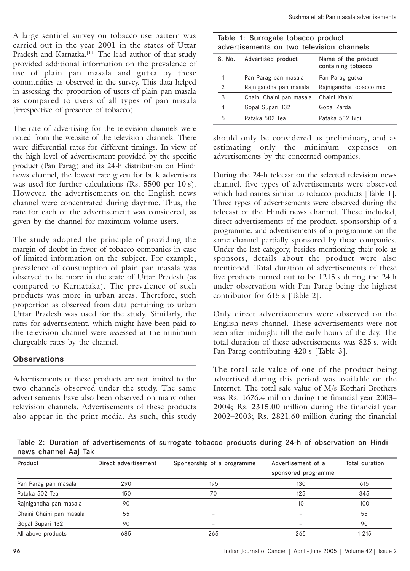A large sentinel survey on tobacco use pattern was carried out in the year 2001 in the states of Uttar Pradesh and Karnatka.<sup>[11]</sup> The lead author of that study provided additional information on the prevalence of use of plain pan masala and gutka by these communities as observed in the survey. This data helped in assessing the proportion of users of plain pan masala as compared to users of all types of pan masala (irrespective of presence of tobacco).

The rate of advertising for the television channels were noted from the website of the television channels. There were differential rates for different timings. In view of the high level of advertisement provided by the specific product (Pan Parag) and its 24-h distribution on Hindi news channel, the lowest rate given for bulk advertisers was used for further calculations (Rs. 5500 per 10 s). However, the advertisements on the English news channel were concentrated during daytime. Thus, the rate for each of the advertisement was considered, as given by the channel for maximum volume users.

The study adopted the principle of providing the margin of doubt in favor of tobacco companies in case of limited information on the subject. For example, prevalence of consumption of plain pan masala was observed to be more in the state of Uttar Pradesh (as compared to Karnataka). The prevalence of such products was more in urban areas. Therefore, such proportion as observed from data pertaining to urban Uttar Pradesh was used for the study. Similarly, the rates for advertisement, which might have been paid to the television channel were assessed at the minimum chargeable rates by the channel.

## **Observations**

Advertisements of these products are not limited to the two channels observed under the study. The same advertisements have also been observed on many other television channels. Advertisements of these products also appear in the print media. As such, this study

| Table 1: Surrogate tobacco product<br>advertisements on two television channels |                          |                         |  |  |  |  |  |
|---------------------------------------------------------------------------------|--------------------------|-------------------------|--|--|--|--|--|
| Name of the product<br>Advertised product<br>S. No.<br>containing tobacco       |                          |                         |  |  |  |  |  |
|                                                                                 | Pan Parag pan masala     | Pan Parag gutka         |  |  |  |  |  |
| $\overline{2}$                                                                  | Rajnigandha pan masala   | Rajnigandha tobacco mix |  |  |  |  |  |
| 3                                                                               | Chaini Chaini pan masala | Chaini Khaini           |  |  |  |  |  |
| 4                                                                               | Gopal Supari 132         | Gopal Zarda             |  |  |  |  |  |
| 5                                                                               | Pataka 502 Tea           | Pataka 502 Bidi         |  |  |  |  |  |

should only be considered as preliminary, and as estimating only the minimum expenses on advertisements by the concerned companies.

During the 24-h telecast on the selected television news channel, five types of advertisements were observed which had names similar to tobacco products [Table 1]. Three types of advertisements were observed during the telecast of the Hindi news channel. These included, direct advertisements of the product, sponsorship of a programme, and advertisements of a programme on the same channel partially sponsored by these companies. Under the last category, besides mentioning their role as sponsors, details about the product were also mentioned. Total duration of advertisements of these five products turned out to be 1215 s during the 24 h under observation with Pan Parag being the highest contributor for 615 s [Table 2].

Only direct advertisements were observed on the English news channel. These advertisements were not seen after midnight till the early hours of the day. The total duration of these advertisements was 825 s, with Pan Parag contributing 420 s [Table 3].

The total sale value of one of the product being advertised during this period was available on the Internet. The total sale value of M/s Kothari Brothers was Rs. 1676.4 million during the financial year 2003– 2004; Rs. 2315.00 million during the financial year 2002–2003; Rs. 2821.60 million during the financial

Table 2: Duration of advertisements of surrogate tobacco products during 24-h of observation on Hindi news channel Aaj Tak

| Product                  | Direct advertisement | Sponsorship of a programme | Advertisement of a<br>sponsored programme | Total duration |  |
|--------------------------|----------------------|----------------------------|-------------------------------------------|----------------|--|
| Pan Parag pan masala     | 290                  | 195                        | 130                                       | 615            |  |
| Pataka 502 Tea           | 150                  | 70                         | 125                                       | 345            |  |
| Rajnigandha pan masala   | 90                   | $\overline{\phantom{a}}$   | 10                                        | 100            |  |
| Chaini Chaini pan masala | 55                   |                            | $\overline{\phantom{m}}$                  | 55             |  |
| Gopal Supari 132         | 90                   | $\overline{\phantom{a}}$   | $\overline{\phantom{0}}$                  | 90             |  |
| All above products       | 685                  | 265                        | 265                                       | 1 2 1 5        |  |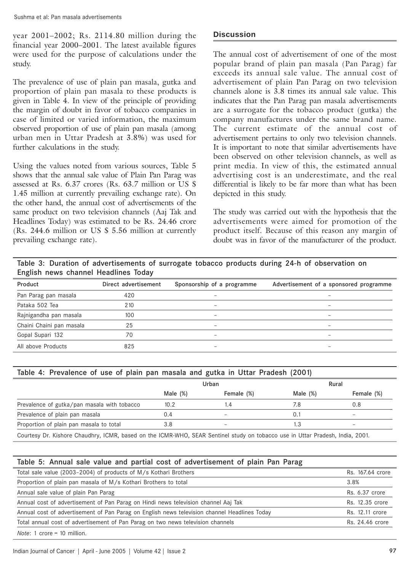year 2001–2002; Rs. 2114.80 million during the financial year 2000–2001. The latest available figures were used for the purpose of calculations under the study.

The prevalence of use of plain pan masala, gutka and proportion of plain pan masala to these products is given in Table 4. In view of the principle of providing the margin of doubt in favor of tobacco companies in case of limited or varied information, the maximum observed proportion of use of plain pan masala (among urban men in Uttar Pradesh at 3.8%) was used for further calculations in the study.

Using the values noted from various sources, Table 5 shows that the annual sale value of Plain Pan Parag was assessed at Rs. 6.37 crores (Rs. 63.7 million or US \$ 1.45 million at currently prevailing exchange rate). On the other hand, the annual cost of advertisements of the same product on two television channels (Aaj Tak and Headlines Today) was estimated to be Rs. 24.46 crore (Rs. 244.6 million or US \$ 5.56 million at currently prevailing exchange rate).

# **Discussion**

The annual cost of advertisement of one of the most popular brand of plain pan masala (Pan Parag) far exceeds its annual sale value. The annual cost of advertisement of plain Pan Parag on two television channels alone is  $3.8$  times its annual sale value. This indicates that the Pan Parag pan masala advertisements are a surrogate for the tobacco product (gutka) the company manufactures under the same brand name. The current estimate of the annual cost of advertisement pertains to only two television channels. It is important to note that similar advertisements have been observed on other television channels, as well as print media. In view of this, the estimated annual advertising cost is an underestimate, and the real differential is likely to be far more than what has been depicted in this study.

The study was carried out with the hypothesis that the advertisements were aimed for promotion of the product itself. Because of this reason any margin of doubt was in favor of the manufacturer of the product.

Table 3: Duration of advertisements of surrogate tobacco products during 24-h of observation on English news channel Headlines Today

| Product                  | Direct advertisement | Sponsorship of a programme | Advertisement of a sponsored programme |
|--------------------------|----------------------|----------------------------|----------------------------------------|
| Pan Parag pan masala     | 420                  |                            |                                        |
| Pataka 502 Tea           | 210                  | $\qquad \qquad$            | $\qquad \qquad$                        |
| Rajnigandha pan masala   | 100                  | $\overline{\phantom{0}}$   |                                        |
| Chaini Chaini pan masala | 25                   | $\overline{\phantom{0}}$   | -                                      |
| Gopal Supari 132         | 70                   | $\qquad \qquad$            |                                        |
| All above Products       | 825                  | $\qquad \qquad$            |                                        |

| Table 4: Prevalence of use of plain pan masala and gutka in Uttar Pradesh (2001) |             |                          |          |                          |  |  |  |
|----------------------------------------------------------------------------------|-------------|--------------------------|----------|--------------------------|--|--|--|
| Rural<br>Urban                                                                   |             |                          |          |                          |  |  |  |
|                                                                                  | Male $(\%)$ | Female (%)               | Male (%) | Female (%)               |  |  |  |
| Prevalence of gutka/pan masala with tobacco                                      | 10.2        | l.4                      | 7.8      | 0.8                      |  |  |  |
| Prevalence of plain pan masala                                                   | 0.4         | $\overline{\phantom{a}}$ |          | $\overline{\phantom{a}}$ |  |  |  |
| Proportion of plain pan masala to total                                          | 3.8         | $\overline{\phantom{a}}$ | l.3      | $\overline{\phantom{a}}$ |  |  |  |

Courtesy Dr. Kishore Chaudhry, ICMR, based on the ICMR-WHO, SEAR Sentinel study on tobacco use in Uttar Pradesh, India, 2001.

|  |  |  |  |  |  |  |  | Table 5: Annual sale value and partial cost of advertisement of plain Pan Parag |  |  |  |  |
|--|--|--|--|--|--|--|--|---------------------------------------------------------------------------------|--|--|--|--|
|--|--|--|--|--|--|--|--|---------------------------------------------------------------------------------|--|--|--|--|

| Total sale value (2003–2004) of products of M/s Kothari Brothers                             |                 |  |  |  |
|----------------------------------------------------------------------------------------------|-----------------|--|--|--|
| Proportion of plain pan masala of M/s Kothari Brothers to total                              | 3.8%            |  |  |  |
| Annual sale value of plain Pan Parag                                                         | Rs. 6.37 crore  |  |  |  |
| Annual cost of advertisement of Pan Parag on Hindi news television channel Aaj Tak           | Rs. 12.35 crore |  |  |  |
| Annual cost of advertisement of Pan Parag on English news television channel Headlines Today | Rs. 12.11 crore |  |  |  |
| Total annual cost of advertisement of Pan Parag on two news television channels              | Rs. 24.46 crore |  |  |  |
| $Nots 1 = 10$ million                                                                        |                 |  |  |  |